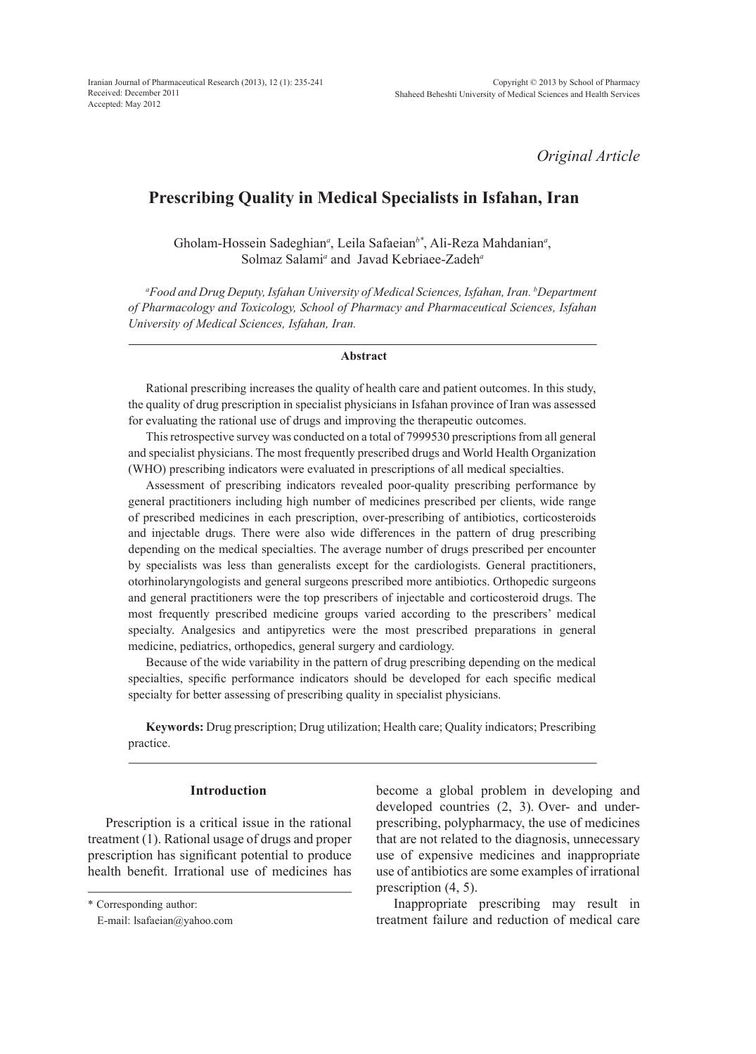*Original Article*

# **Prescribing Quality in Medical Specialists in Isfahan, Iran**

Gholam-Hossein Sadeghian<sup>a</sup>, Leila Safaeian<sup>b\*</sup>, Ali-Reza Mahdanian<sup>a</sup>, Solmaz Salami<sup>*a*</sup> and Javad Kebriaee-Zadeh<sup>*a*</sup>

*a Food and Drug Deputy, Isfahan University of Medical Sciences, Isfahan, Iran. b Department of Pharmacology and Toxicology, School of Pharmacy and Pharmaceutical Sciences, Isfahan University of Medical Sciences, Isfahan, Iran.*

#### **Abstract**

Rational prescribing increases the quality of health care and patient outcomes. In this study, the quality of drug prescription in specialist physicians in Isfahan province of Iran was assessed for evaluating the rational use of drugs and improving the therapeutic outcomes.

This retrospective survey was conducted on a total of 7999530 prescriptions from all general and specialist physicians. The most frequently prescribed drugs and World Health Organization (WHO) prescribing indicators were evaluated in prescriptions of all medical specialties.

Assessment of prescribing indicators revealed poor-quality prescribing performance by general practitioners including high number of medicines prescribed per clients, wide range of prescribed medicines in each prescription, over-prescribing of antibiotics, corticosteroids and injectable drugs. There were also wide differences in the pattern of drug prescribing depending on the medical specialties. The average number of drugs prescribed per encounter by specialists was less than generalists except for the cardiologists. General practitioners, otorhinolaryngologists and general surgeons prescribed more antibiotics. Orthopedic surgeons and general practitioners were the top prescribers of injectable and corticosteroid drugs. The most frequently prescribed medicine groups varied according to the prescribers' medical specialty. Analgesics and antipyretics were the most prescribed preparations in general medicine, pediatrics, orthopedics, general surgery and cardiology.

Because of the wide variability in the pattern of drug prescribing depending on the medical specialties, specific performance indicators should be developed for each specific medical specialty for better assessing of prescribing quality in specialist physicians.

**Keywords:** Drug prescription; Drug utilization; Health care; Quality indicators; Prescribing practice.

## **Introduction**

Prescription is a critical issue in the rational treatment (1). Rational usage of drugs and proper prescription has significant potential to produce health benefit. Irrational use of medicines has

\* Corresponding author:

become a global problem in developing and developed countries (2, 3). Over- and underprescribing, polypharmacy, the use of medicines that are not related to the diagnosis, unnecessary use of expensive medicines and inappropriate use of antibiotics are some examples of irrational prescription (4, 5).

Inappropriate prescribing may result in treatment failure and reduction of medical care

E-mail: lsafaeian@yahoo.com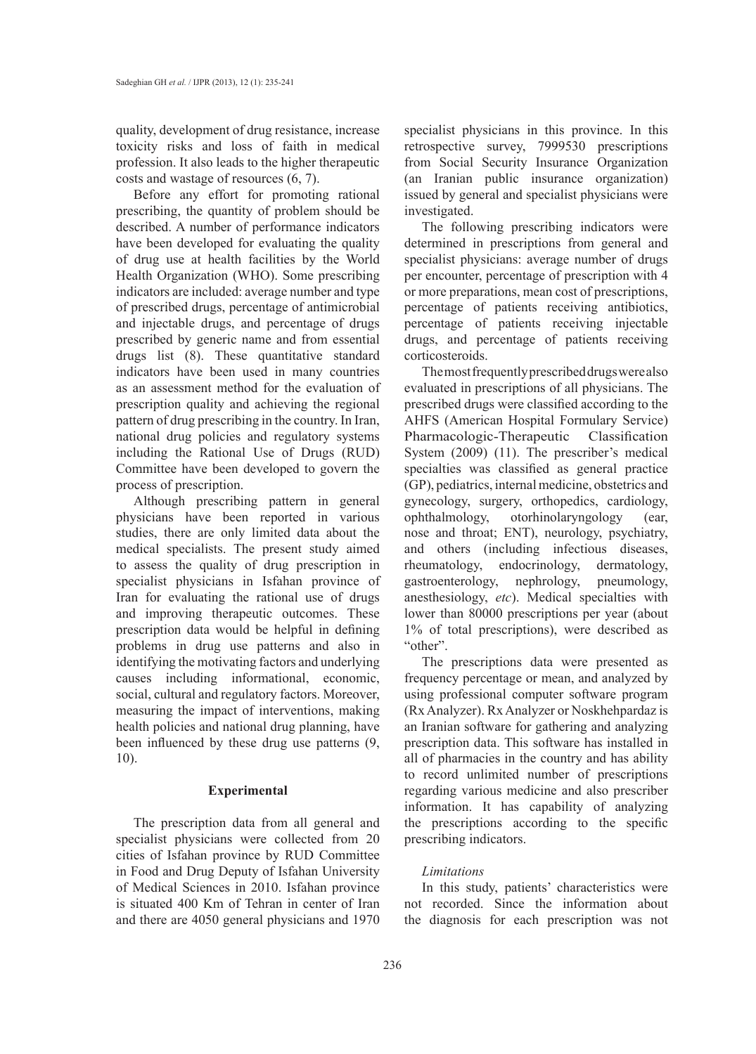quality, development of drug resistance, increase toxicity risks and loss of faith in medical profession. It also leads to the higher therapeutic costs and wastage of resources (6, 7).

Before any effort for promoting rational prescribing, the quantity of problem should be described. A number of performance indicators have been developed for evaluating the quality of drug use at health facilities by the World Health Organization (WHO). Some prescribing indicators are included: average number and type of prescribed drugs, percentage of antimicrobial and injectable drugs, and percentage of drugs prescribed by generic name and from essential drugs list (8). These quantitative standard indicators have been used in many countries as an assessment method for the evaluation of prescription quality and achieving the regional pattern of drug prescribing in the country. In Iran, national drug policies and regulatory systems including the Rational Use of Drugs (RUD) Committee have been developed to govern the process of prescription.

Although prescribing pattern in general physicians have been reported in various studies, there are only limited data about the medical specialists. The present study aimed to assess the quality of drug prescription in specialist physicians in Isfahan province of Iran for evaluating the rational use of drugs and improving therapeutic outcomes. These prescription data would be helpful in defining problems in drug use patterns and also in identifying the motivating factors and underlying causes including informational, economic, social, cultural and regulatory factors. Moreover, measuring the impact of interventions, making health policies and national drug planning, have been influenced by these drug use patterns (9, 10).

## **Experimental**

The prescription data from all general and specialist physicians were collected from 20 cities of Isfahan province by RUD Committee in Food and Drug Deputy of Isfahan University of Medical Sciences in 2010. Isfahan province is situated 400 Km of Tehran in center of Iran and there are 4050 general physicians and 1970

specialist physicians in this province. In this retrospective survey, 7999530 prescriptions from Social Security Insurance Organization (an Iranian public insurance organization) issued by general and specialist physicians were investigated.

The following prescribing indicators were determined in prescriptions from general and specialist physicians: average number of drugs per encounter, percentage of prescription with 4 or more preparations, mean cost of prescriptions, percentage of patients receiving antibiotics, percentage of patients receiving injectable drugs, and percentage of patients receiving corticosteroids.

The most frequently prescribed drugs were also evaluated in prescriptions of all physicians. The prescribed drugs were classified according to the AHFS (American Hospital Formulary Service) Pharmacologic-Therapeutic Classification System (2009) (11). The prescriber's medical specialties was classified as general practice (GP), pediatrics, internal medicine, obstetrics and gynecology, surgery, orthopedics, cardiology, ophthalmology, otorhinolaryngology (ear, nose and throat; ENT), neurology, psychiatry, and others (including infectious diseases, rheumatology, endocrinology, dermatology, gastroenterology, nephrology, pneumology, anesthesiology, *etc*). Medical specialties with lower than 80000 prescriptions per year (about 1% of total prescriptions), were described as "other".

The prescriptions data were presented as frequency percentage or mean, and analyzed by using professional computer software program (Rx Analyzer). Rx Analyzer or Noskhehpardaz is an Iranian software for gathering and analyzing prescription data. This software has installed in all of pharmacies in the country and has ability to record unlimited number of prescriptions regarding various medicine and also prescriber information. It has capability of analyzing the prescriptions according to the specific prescribing indicators.

## *Limitations*

In this study, patients' characteristics were not recorded. Since the information about the diagnosis for each prescription was not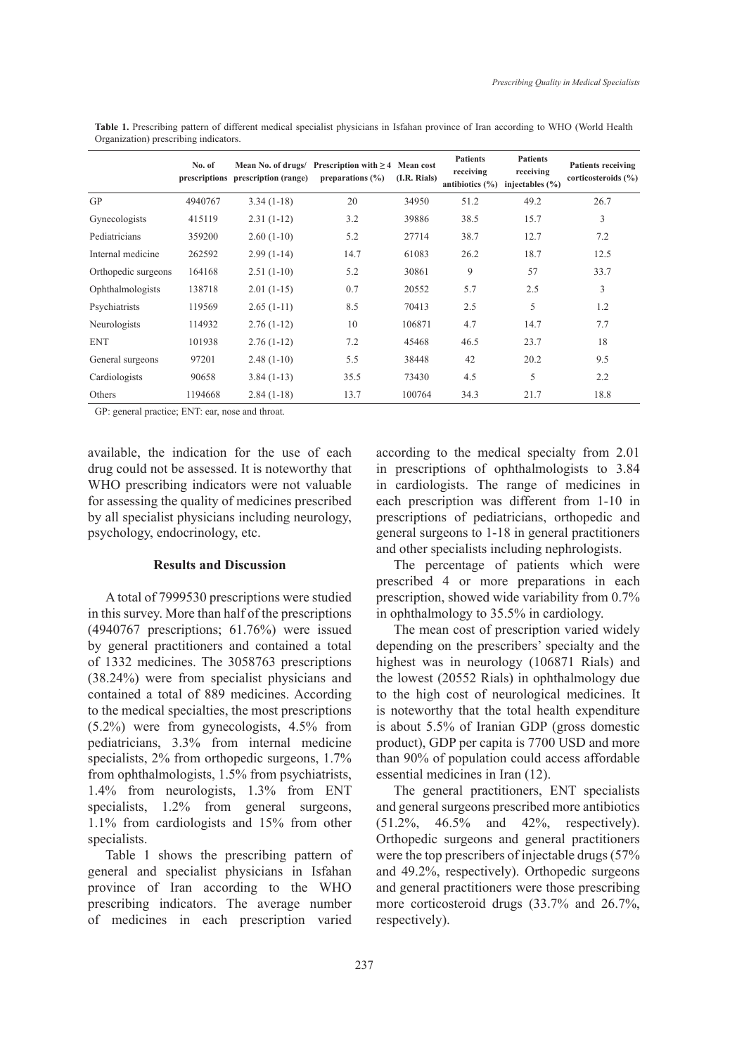|                     | No. of<br>prescriptions | Mean No. of drugs/<br>prescription (range) | Prescription with $\geq 4$ Mean cost<br>preparations $(\% )$ | (I.R. Rials) | <b>Patients</b><br>receiving<br>antibiotics $(\% )$ | <b>Patients</b><br>receiving<br>injectables $(\% )$ | <b>Patients receiving</b><br>corticosteroids $(\% )$ |
|---------------------|-------------------------|--------------------------------------------|--------------------------------------------------------------|--------------|-----------------------------------------------------|-----------------------------------------------------|------------------------------------------------------|
| <b>GP</b>           | 4940767                 | $3.34(1-18)$                               | 20                                                           | 34950        | 51.2                                                | 49.2                                                | 26.7                                                 |
| Gynecologists       | 415119                  | $2.31(1-12)$                               | 3.2                                                          | 39886        | 38.5                                                | 15.7                                                | 3                                                    |
| Pediatricians       | 359200                  | $2.60(1-10)$                               | 5.2                                                          | 27714        | 38.7                                                | 12.7                                                | 7.2                                                  |
| Internal medicine   | 262592                  | $2.99(1-14)$                               | 14.7                                                         | 61083        | 26.2                                                | 18.7                                                | 12.5                                                 |
| Orthopedic surgeons | 164168                  | $2.51(1-10)$                               | 5.2                                                          | 30861        | 9                                                   | 57                                                  | 33.7                                                 |
| Ophthalmologists    | 138718                  | $2.01(1-15)$                               | 0.7                                                          | 20552        | 5.7                                                 | 2.5                                                 | 3                                                    |
| Psychiatrists       | 119569                  | $2.65(1-11)$                               | 8.5                                                          | 70413        | 2.5                                                 | 5                                                   | 1.2                                                  |
| Neurologists        | 114932                  | $2.76(1-12)$                               | 10                                                           | 106871       | 4.7                                                 | 14.7                                                | 7.7                                                  |
| <b>ENT</b>          | 101938                  | $2.76(1-12)$                               | 7.2                                                          | 45468        | 46.5                                                | 23.7                                                | 18                                                   |
| General surgeons    | 97201                   | $2.48(1-10)$                               | 5.5                                                          | 38448        | 42                                                  | 20.2                                                | 9.5                                                  |
| Cardiologists       | 90658                   | $3.84(1-13)$                               | 35.5                                                         | 73430        | 4.5                                                 | 5                                                   | 2.2                                                  |
| Others              | 1194668                 | $2.84(1-18)$                               | 13.7                                                         | 100764       | 34.3                                                | 21.7                                                | 18.8                                                 |

**Table 1.** Prescribing pattern of different medical specialist physicians in Isfahan province of Iran according to WHO (World Health Organization) prescribing indicators.

GP: general practice; ENT: ear, nose and throat.

available, the indication for the use of each drug could not be assessed. It is noteworthy that WHO prescribing indicators were not valuable for assessing the quality of medicines prescribed by all specialist physicians including neurology, psychology, endocrinology, etc.

## **Results and Discussion**

A total of 7999530 prescriptions were studied in this survey. More than half of the prescriptions (4940767 prescriptions; 61.76%) were issued by general practitioners and contained a total of 1332 medicines. The 3058763 prescriptions (38.24%) were from specialist physicians and contained a total of 889 medicines. According to the medical specialties, the most prescriptions (5.2%) were from gynecologists, 4.5% from pediatricians, 3.3% from internal medicine specialists, 2% from orthopedic surgeons, 1.7% from ophthalmologists, 1.5% from psychiatrists, 1.4% from neurologists, 1.3% from ENT specialists,  $1.2\%$  from general surgeons, 1.1% from cardiologists and 15% from other specialists.

Table 1 shows the prescribing pattern of general and specialist physicians in Isfahan province of Iran according to the WHO prescribing indicators. The average number of medicines in each prescription varied according to the medical specialty from 2.01 in prescriptions of ophthalmologists to 3.84 in cardiologists. The range of medicines in each prescription was different from 1-10 in prescriptions of pediatricians, orthopedic and general surgeons to 1-18 in general practitioners and other specialists including nephrologists.

The percentage of patients which were prescribed 4 or more preparations in each prescription, showed wide variability from 0.7% in ophthalmology to 35.5% in cardiology.

The mean cost of prescription varied widely depending on the prescribers' specialty and the highest was in neurology (106871 Rials) and the lowest (20552 Rials) in ophthalmology due to the high cost of neurological medicines. It is noteworthy that the total health expenditure is about 5.5% of Iranian GDP (gross domestic product), GDP per capita is 7700 USD and more than 90% of population could access affordable essential medicines in Iran (12).

The general practitioners, ENT specialists and general surgeons prescribed more antibiotics (51.2%, 46.5% and 42%, respectively). Orthopedic surgeons and general practitioners were the top prescribers of injectable drugs (57% and 49.2%, respectively). Orthopedic surgeons and general practitioners were those prescribing more corticosteroid drugs (33.7% and 26.7%, respectively).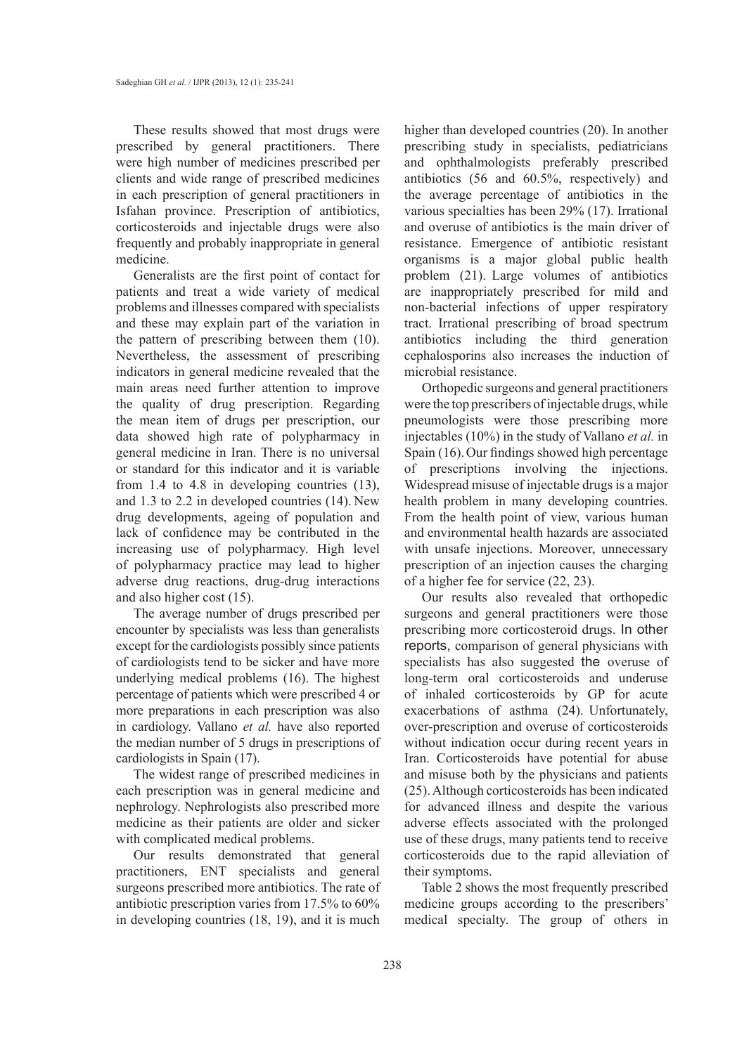These results showed that most drugs were prescribed by general practitioners. There were high number of medicines prescribed per clients and wide range of prescribed medicines in each prescription of general practitioners in Isfahan province. Prescription of antibiotics, corticosteroids and injectable drugs were also frequently and probably inappropriate in general medicine.

Generalists are the first point of contact for patients and treat a wide variety of medical problems and illnesses compared with specialists and these may explain part of the variation in the pattern of prescribing between them (10). Nevertheless, the assessment of prescribing indicators in general medicine revealed that the main areas need further attention to improve the quality of drug prescription. Regarding the mean item of drugs per prescription, our data showed high rate of polypharmacy in general medicine in Iran. There is no universal or standard for this indicator and it is variable from 1.4 to 4.8 in developing countries (13), and 1.3 to 2.2 in developed countries (14). New drug developments, ageing of population and lack of confidence may be contributed in the increasing use of polypharmacy. High level of polypharmacy practice may lead to higher adverse drug reactions, drug-drug interactions and also higher cost (15).

The average number of drugs prescribed per encounter by specialists was less than generalists except for the cardiologists possibly since patients of cardiologists tend to be sicker and have more underlying medical problems (16). The highest percentage of patients which were prescribed 4 or more preparations in each prescription was also in cardiology. Vallano *et al.* have also reported the median number of 5 drugs in prescriptions of cardiologists in Spain (17).

The widest range of prescribed medicines in each prescription was in general medicine and nephrology. Nephrologists also prescribed more medicine as their patients are older and sicker with complicated medical problems.

Our results demonstrated that general practitioners, ENT specialists and general surgeons prescribed more antibiotics. The rate of antibiotic prescription varies from 17.5% to 60% in developing countries (18, 19), and it is much higher than developed countries (20). In another prescribing study in specialists, pediatricians and ophthalmologists preferably prescribed antibiotics (56 and 60.5%, respectively) and the average percentage of antibiotics in the various specialties has been 29% (17). Irrational and overuse of antibiotics is the main driver of resistance. Emergence of antibiotic resistant organisms is a major global public health problem (21). Large volumes of antibiotics are inappropriately prescribed for mild and non-bacterial infections of upper respiratory tract. Irrational prescribing of broad spectrum antibiotics including the third generation cephalosporins also increases the induction of microbial resistance.

Orthopedic surgeons and general practitioners were the top prescribers of injectable drugs, while pneumologists were those prescribing more injectables (10%) in the study of Vallano *et al.* in Spain (16).Our findings showed high percentage of prescriptions involving the injections. Widespread misuse of injectable drugs is a major health problem in many developing countries. From the health point of view, various human and environmental health hazards are associated with unsafe injections. Moreover, unnecessary prescription of an injection causes the charging of a higher fee for service (22, 23).

Our results also revealed that orthopedic surgeons and general practitioners were those prescribing more corticosteroid drugs. In other reports, comparison of general physicians with specialists has also suggested the overuse of long-term oral corticosteroids and underuse of inhaled corticosteroids by GP for acute exacerbations of asthma (24). Unfortunately, over-prescription and overuse of corticosteroids without indication occur during recent years in Iran. Corticosteroids have potential for abuse and misuse both by the physicians and patients (25). Although corticosteroids has been indicated for advanced illness and despite the various adverse effects associated with the prolonged use of these drugs, many patients tend to receive corticosteroids due to the rapid alleviation of their symptoms.

Table 2 shows the most frequently prescribed medicine groups according to the prescribers' medical specialty. The group of others in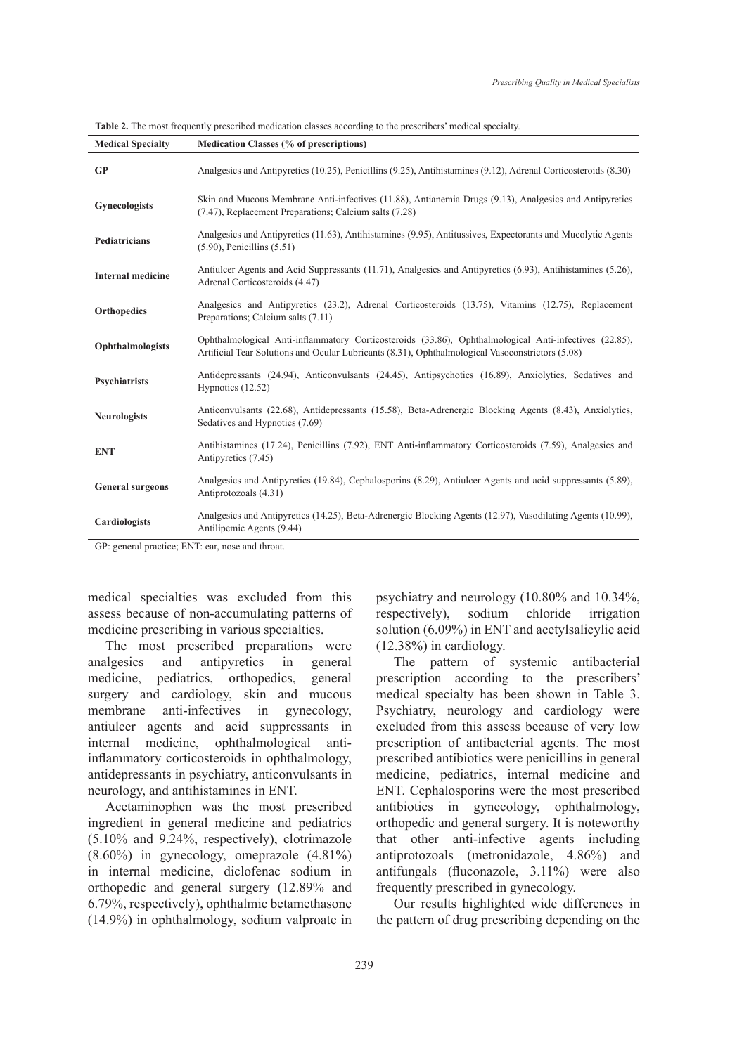| <b>Medical Specialty</b> | Medication Classes (% of prescriptions)                                                                                                                                                                   |  |  |  |  |
|--------------------------|-----------------------------------------------------------------------------------------------------------------------------------------------------------------------------------------------------------|--|--|--|--|
| <b>GP</b>                | Analgesics and Antipyretics (10.25), Penicillins (9.25), Antihistamines (9.12), Adrenal Corticosteroids (8.30)                                                                                            |  |  |  |  |
| <b>Gynecologists</b>     | Skin and Mucous Membrane Anti-infectives (11.88), Antianemia Drugs (9.13), Analgesics and Antipyretics<br>(7.47), Replacement Preparations; Calcium salts (7.28)                                          |  |  |  |  |
| <b>Pediatricians</b>     | Analgesics and Antipyretics (11.63), Antihistamines (9.95), Antitussives, Expectorants and Mucolytic Agents<br>$(5.90)$ , Penicillins $(5.51)$                                                            |  |  |  |  |
| <b>Internal medicine</b> | Antiulcer Agents and Acid Suppressants (11.71), Analgesics and Antipyretics (6.93), Antihistamines (5.26),<br>Adrenal Corticosteroids (4.47)                                                              |  |  |  |  |
| <b>Orthopedics</b>       | Analgesics and Antipyretics (23.2), Adrenal Corticosteroids (13.75), Vitamins (12.75), Replacement<br>Preparations; Calcium salts (7.11)                                                                  |  |  |  |  |
| Ophthalmologists         | Ophthalmological Anti-inflammatory Corticosteroids (33.86), Ophthalmological Anti-infectives (22.85),<br>Artificial Tear Solutions and Ocular Lubricants (8.31), Ophthalmological Vasoconstrictors (5.08) |  |  |  |  |
| <b>Psychiatrists</b>     | Antidepressants (24.94), Anticonvulsants (24.45), Antipsychotics (16.89), Anxiolytics, Sedatives and<br>Hypnotics (12.52)                                                                                 |  |  |  |  |
| <b>Neurologists</b>      | Anticonvulsants (22.68), Antidepressants (15.58), Beta-Adrenergic Blocking Agents (8.43), Anxiolytics,<br>Sedatives and Hypnotics (7.69)                                                                  |  |  |  |  |
| <b>ENT</b>               | Antihistamines (17.24), Penicillins (7.92), ENT Anti-inflammatory Corticosteroids (7.59), Analgesics and<br>Antipyretics (7.45)                                                                           |  |  |  |  |
| <b>General surgeons</b>  | Analgesics and Antipyretics (19.84), Cephalosporins (8.29), Antiulcer Agents and acid suppressants (5.89),<br>Antiprotozoals (4.31)                                                                       |  |  |  |  |
| Cardiologists            | Analgesics and Antipyretics (14.25), Beta-Adrenergic Blocking Agents (12.97), Vasodilating Agents (10.99),<br>Antilipemic Agents (9.44)                                                                   |  |  |  |  |

**Table 2.** The most frequently prescribed medication classes according to the prescribers' medical specialty.

GP: general practice; ENT: ear, nose and throat.

medical specialties was excluded from this assess because of non-accumulating patterns of medicine prescribing in various specialties.

The most prescribed preparations were analgesics and antipyretics in general medicine, pediatrics, orthopedics, general surgery and cardiology, skin and mucous membrane anti-infectives in gynecology, antiulcer agents and acid suppressants in internal medicine, ophthalmological antiinflammatory corticosteroids in ophthalmology, antidepressants in psychiatry, anticonvulsants in neurology, and antihistamines in ENT.

Acetaminophen was the most prescribed ingredient in general medicine and pediatrics (5.10% and 9.24%, respectively), clotrimazole (8.60%) in gynecology, omeprazole (4.81%) in internal medicine, diclofenac sodium in orthopedic and general surgery (12.89% and 6.79%, respectively), ophthalmic betamethasone (14.9%) in ophthalmology, sodium valproate in psychiatry and neurology (10.80% and 10.34%, respectively), sodium chloride irrigation solution (6.09%) in ENT and acetylsalicylic acid (12.38%) in cardiology.

The pattern of systemic antibacterial prescription according to the prescribers' medical specialty has been shown in Table 3. Psychiatry, neurology and cardiology were excluded from this assess because of very low prescription of antibacterial agents. The most prescribed antibiotics were penicillins in general medicine, pediatrics, internal medicine and ENT. Cephalosporins were the most prescribed antibiotics in gynecology, ophthalmology, orthopedic and general surgery. It is noteworthy that other anti-infective agents including antiprotozoals (metronidazole, 4.86%) and antifungals (fluconazole, 3.11%) were also frequently prescribed in gynecology.

Our results highlighted wide differences in the pattern of drug prescribing depending on the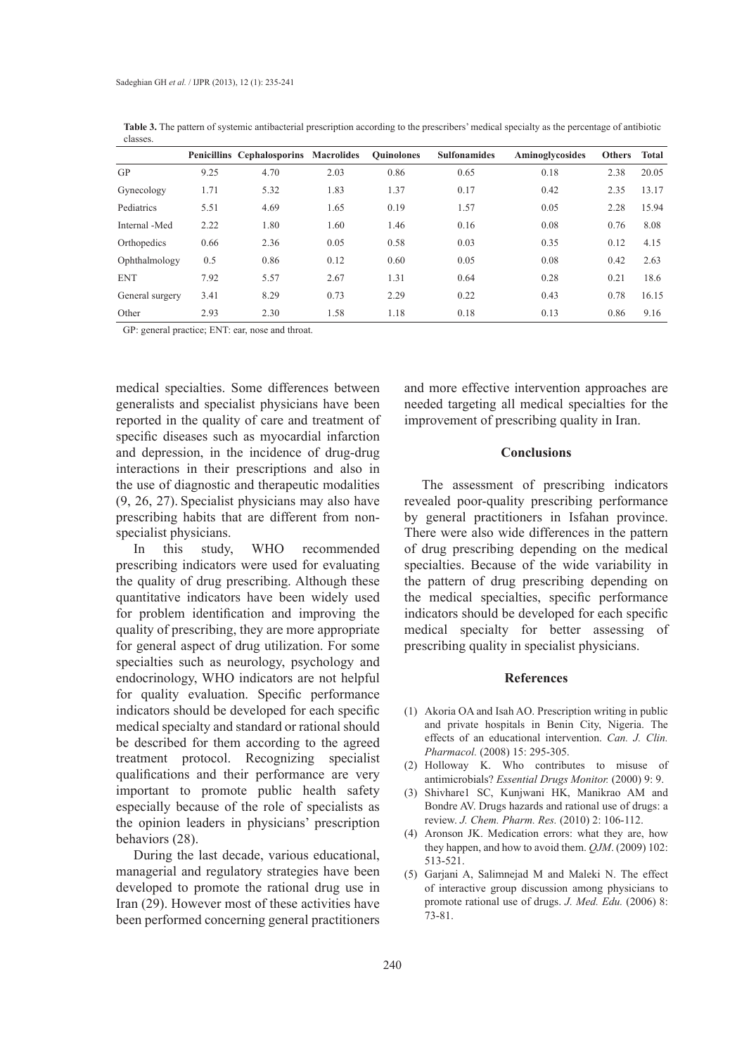|                 |      | <b>Penicillins Cephalosporins Macrolides</b> |      | <b>Ouinolones</b> | <b>Sulfonamides</b> | Aminoglycosides | <b>Others</b> | Total |
|-----------------|------|----------------------------------------------|------|-------------------|---------------------|-----------------|---------------|-------|
| GP              | 9.25 | 4.70                                         | 2.03 | 0.86              | 0.65                | 0.18            | 2.38          | 20.05 |
| Gynecology      | 1.71 | 5.32                                         | 1.83 | 1.37              | 0.17                | 0.42            | 2.35          | 13.17 |
| Pediatrics      | 5.51 | 4.69                                         | 1.65 | 0.19              | 1.57                | 0.05            | 2.28          | 15.94 |
| Internal -Med   | 2.22 | 1.80                                         | 1.60 | 1.46              | 0.16                | 0.08            | 0.76          | 8.08  |
| Orthopedics     | 0.66 | 2.36                                         | 0.05 | 0.58              | 0.03                | 0.35            | 0.12          | 4.15  |
| Ophthalmology   | 0.5  | 0.86                                         | 0.12 | 0.60              | 0.05                | 0.08            | 0.42          | 2.63  |
| <b>ENT</b>      | 7.92 | 5.57                                         | 2.67 | 1.31              | 0.64                | 0.28            | 0.21          | 18.6  |
| General surgery | 3.41 | 8.29                                         | 0.73 | 2.29              | 0.22                | 0.43            | 0.78          | 16.15 |
| Other           | 2.93 | 2.30                                         | 1.58 | 1.18              | 0.18                | 0.13            | 0.86          | 9.16  |

**Table 3.** The pattern of systemic antibacterial prescription according to the prescribers' medical specialty as the percentage of antibiotic classes.

GP: general practice; ENT: ear, nose and throat.

medical specialties. Some differences between generalists and specialist physicians have been reported in the quality of care and treatment of specific diseases such as myocardial infarction and depression, in the incidence of drug-drug interactions in their prescriptions and also in the use of diagnostic and therapeutic modalities (9, 26, 27). Specialist physicians may also have prescribing habits that are different from nonspecialist physicians.

In this study, WHO recommended prescribing indicators were used for evaluating the quality of drug prescribing. Although these quantitative indicators have been widely used for problem identification and improving the quality of prescribing, they are more appropriate for general aspect of drug utilization. For some specialties such as neurology, psychology and endocrinology, WHO indicators are not helpful for quality evaluation. Specific performance indicators should be developed for each specific medical specialty and standard or rational should be described for them according to the agreed treatment protocol. Recognizing specialist qualifications and their performance are very important to promote public health safety especially because of the role of specialists as the opinion leaders in physicians' prescription behaviors (28).

During the last decade, various educational, managerial and regulatory strategies have been developed to promote the rational drug use in Iran (29). However most of these activities have been performed concerning general practitioners and more effective intervention approaches are needed targeting all medical specialties for the improvement of prescribing quality in Iran.

#### **Conclusions**

The assessment of prescribing indicators revealed poor-quality prescribing performance by general practitioners in Isfahan province. There were also wide differences in the pattern of drug prescribing depending on the medical specialties. Because of the wide variability in the pattern of drug prescribing depending on the medical specialties, specific performance indicators should be developed for each specific medical specialty for better assessing of prescribing quality in specialist physicians.

#### **References**

- Akoria OA and Isah AO. Prescription writing in public (1) and private hospitals in Benin City, Nigeria. The effects of an educational intervention. *Can. J. Clin. Pharmacol.* (2008) 15: 295-305.
- (2) Holloway K. Who contributes to misuse of antimicrobials? *Essential Drugs Monitor.* (2000) 9: 9.
- (3) Shivhare1 SC, Kunjwani HK, Manikrao AM and Bondre AV. Drugs hazards and rational use of drugs: a review. *J. Chem. Pharm. Res.* (2010) 2: 106-112.
- (4) Aronson JK. Medication errors: what they are, how they happen, and how to avoid them. *QJM*. (2009) 102: 513-521.
- (5) Garjani A, Salimnejad M and Maleki N. The effect of interactive group discussion among physicians to promote rational use of drugs. *J. Med. Edu.* (2006) 8: 73-81.